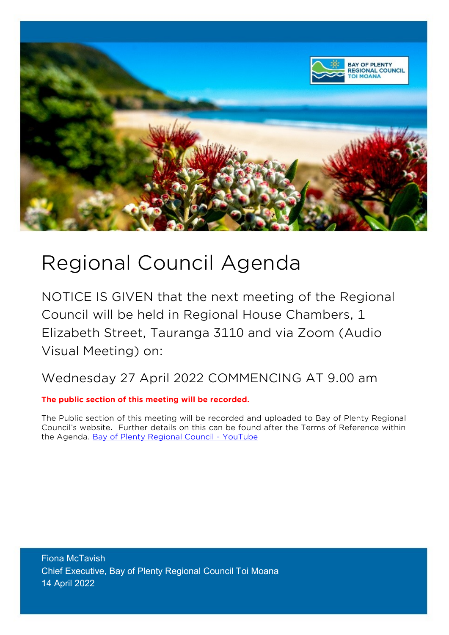

# Regional Council Agenda

NOTICE IS GIVEN that the next meeting of the Regional Council will be held in Regional House Chambers, 1 Elizabeth Street, Tauranga 3110 and via Zoom (Audio Visual Meeting) on:

Wednesday 27 April 2022 COMMENCING AT 9.00 am

**The public section of this meeting will be recorded.**

The Public section of this meeting will be recorded and uploaded to Bay of Plenty Regional Council's website. Further details on this can be found after the Terms of Reference within the Agenda. [Bay of Plenty Regional Council -](https://www.youtube.com/user/bopregionalcouncil) YouTube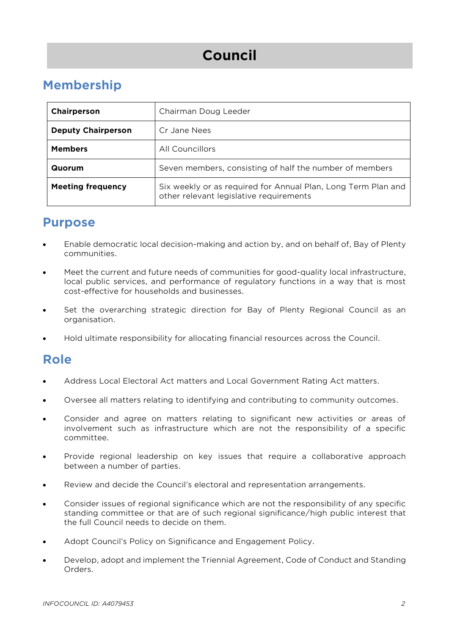## **Council**

### **Membership**

| Chairperson               | Chairman Doug Leeder                                                                                     |  |  |
|---------------------------|----------------------------------------------------------------------------------------------------------|--|--|
| <b>Deputy Chairperson</b> | Cr Jane Nees                                                                                             |  |  |
| <b>Members</b>            | All Councillors                                                                                          |  |  |
| Quorum                    | Seven members, consisting of half the number of members                                                  |  |  |
| <b>Meeting frequency</b>  | Six weekly or as required for Annual Plan, Long Term Plan and<br>other relevant legislative requirements |  |  |

### **Purpose**

- Enable democratic local decision-making and action by, and on behalf of, Bay of Plenty communities.
- Meet the current and future needs of communities for good-quality local infrastructure, local public services, and performance of regulatory functions in a way that is most cost-effective for households and businesses.
- Set the overarching strategic direction for Bay of Plenty Regional Council as an organisation.
- Hold ultimate responsibility for allocating financial resources across the Council.

### **Role**

- Address Local Electoral Act matters and Local Government Rating Act matters.
- Oversee all matters relating to identifying and contributing to community outcomes.
- Consider and agree on matters relating to significant new activities or areas of involvement such as infrastructure which are not the responsibility of a specific committee.
- Provide regional leadership on key issues that require a collaborative approach between a number of parties.
- Review and decide the Council's electoral and representation arrangements.
- Consider issues of regional significance which are not the responsibility of any specific standing committee or that are of such regional significance/high public interest that the full Council needs to decide on them.
- Adopt Council's Policy on Significance and Engagement Policy.
- Develop, adopt and implement the Triennial Agreement, Code of Conduct and Standing Orders.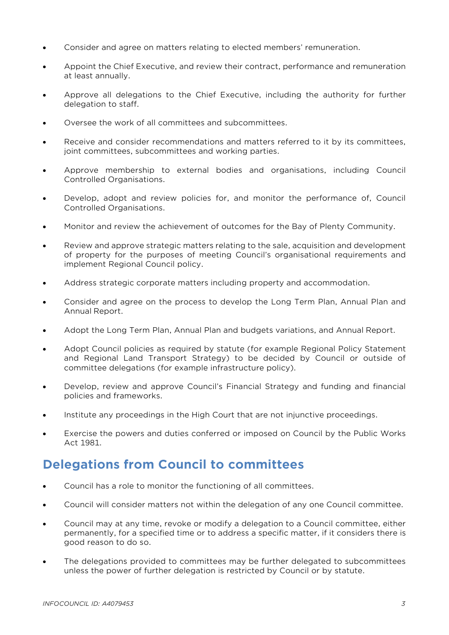- Consider and agree on matters relating to elected members' remuneration.
- Appoint the Chief Executive, and review their contract, performance and remuneration at least annually.
- Approve all delegations to the Chief Executive, including the authority for further delegation to staff.
- Oversee the work of all committees and subcommittees.
- Receive and consider recommendations and matters referred to it by its committees, joint committees, subcommittees and working parties.
- Approve membership to external bodies and organisations, including Council Controlled Organisations.
- Develop, adopt and review policies for, and monitor the performance of, Council Controlled Organisations.
- Monitor and review the achievement of outcomes for the Bay of Plenty Community.
- Review and approve strategic matters relating to the sale, acquisition and development of property for the purposes of meeting Council's organisational requirements and implement Regional Council policy.
- Address strategic corporate matters including property and accommodation.
- Consider and agree on the process to develop the Long Term Plan, Annual Plan and Annual Report.
- Adopt the Long Term Plan, Annual Plan and budgets variations, and Annual Report.
- Adopt Council policies as required by statute (for example Regional Policy Statement and Regional Land Transport Strategy) to be decided by Council or outside of committee delegations (for example infrastructure policy).
- Develop, review and approve Council's Financial Strategy and funding and financial policies and frameworks.
- Institute any proceedings in the High Court that are not injunctive proceedings.
- Exercise the powers and duties conferred or imposed on Council by the Public Works Act 1981.

### **Delegations from Council to committees**

- Council has a role to monitor the functioning of all committees.
- Council will consider matters not within the delegation of any one Council committee.
- Council may at any time, revoke or modify a delegation to a Council committee, either permanently, for a specified time or to address a specific matter, if it considers there is good reason to do so.
- The delegations provided to committees may be further delegated to subcommittees unless the power of further delegation is restricted by Council or by statute.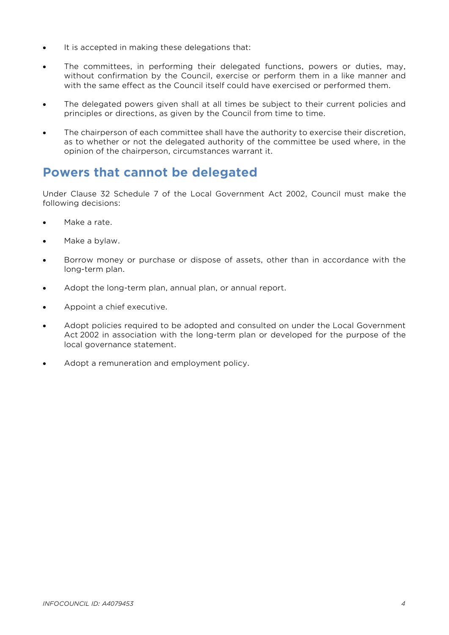- It is accepted in making these delegations that:
- The committees, in performing their delegated functions, powers or duties, may, without confirmation by the Council, exercise or perform them in a like manner and with the same effect as the Council itself could have exercised or performed them.
- The delegated powers given shall at all times be subject to their current policies and principles or directions, as given by the Council from time to time.
- The chairperson of each committee shall have the authority to exercise their discretion, as to whether or not the delegated authority of the committee be used where, in the opinion of the chairperson, circumstances warrant it.

### **Powers that cannot be delegated**

Under Clause 32 Schedule 7 of the Local Government Act 2002, Council must make the following decisions:

- Make a rate.
- Make a bylaw.
- Borrow money or purchase or dispose of assets, other than in accordance with the long-term plan.
- Adopt the long-term plan, annual plan, or annual report.
- Appoint a chief executive.
- Adopt policies required to be adopted and consulted on under the Local Government Act 2002 in association with the long-term plan or developed for the purpose of the local governance statement.
- Adopt a remuneration and employment policy.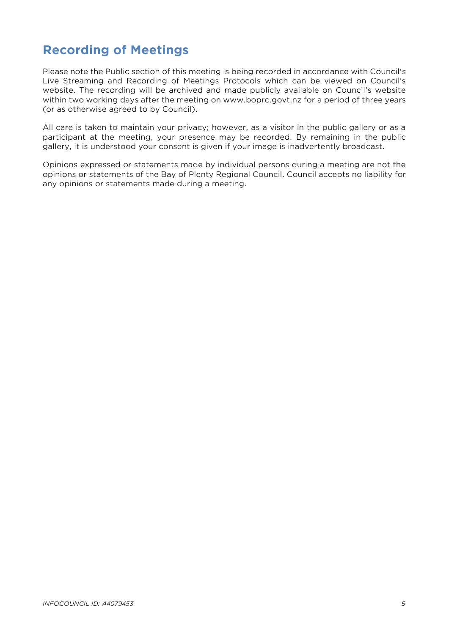### **Recording of Meetings**

Please note the Public section of this meeting is being recorded in accordance with Council's Live Streaming and Recording of Meetings Protocols which can be viewed on Council's website. The recording will be archived and made publicly available on Council's website within two working days after the meeting on www.boprc.govt.nz for a period of three years (or as otherwise agreed to by Council).

All care is taken to maintain your privacy; however, as a visitor in the public gallery or as a participant at the meeting, your presence may be recorded. By remaining in the public gallery, it is understood your consent is given if your image is inadvertently broadcast.

Opinions expressed or statements made by individual persons during a meeting are not the opinions or statements of the Bay of Plenty Regional Council. Council accepts no liability for any opinions or statements made during a meeting.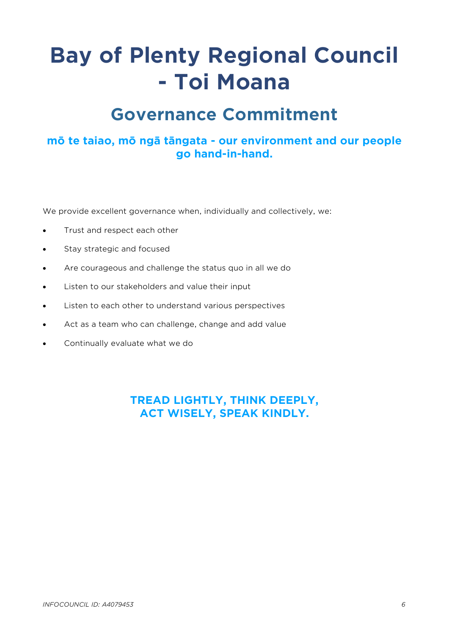# **Bay of Plenty Regional Council - Toi Moana**

## **Governance Commitment**

### **mō te taiao, mō ngā tāngata - our environment and our people go hand-in-hand.**

We provide excellent governance when, individually and collectively, we:

- Trust and respect each other
- Stay strategic and focused
- Are courageous and challenge the status quo in all we do
- Listen to our stakeholders and value their input
- Listen to each other to understand various perspectives
- Act as a team who can challenge, change and add value
- Continually evaluate what we do

**TREAD LIGHTLY, THINK DEEPLY, ACT WISELY, SPEAK KINDLY.**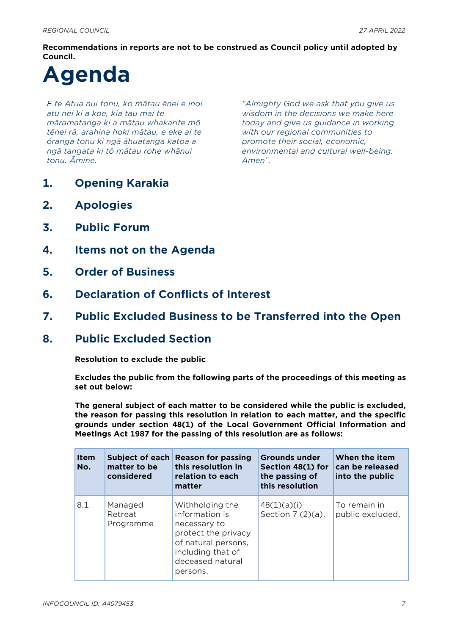**Recommendations in reports are not to be construed as Council policy until adopted by Council.**

# **Agenda**

*E te Atua nui tonu, ko mātau ēnei e inoi atu nei ki a koe, kia tau mai te māramatanga ki a mātau whakarite mō tēnei rā, arahina hoki mātau, e eke ai te ōranga tonu ki ngā āhuatanga katoa a ngā tangata ki tō mātau rohe whānui tonu. Āmine.*

*"Almighty God we ask that you give us wisdom in the decisions we make here today and give us guidance in working with our regional communities to promote their social, economic, environmental and cultural well-being. Amen".*

- **1. Opening Karakia**
- **2. Apologies**
- **3. Public Forum**
- **4. Items not on the Agenda**
- **5. Order of Business**
- **6. Declaration of Conflicts of Interest**
- **7. Public Excluded Business to be Transferred into the Open**
- **8. Public Excluded Section**

**Resolution to exclude the public**

**Excludes the public from the following parts of the proceedings of this meeting as set out below:**

**The general subject of each matter to be considered while the public is excluded, the reason for passing this resolution in relation to each matter, and the specific grounds under section 48(1) of the Local Government Official Information and Meetings Act 1987 for the passing of this resolution are as follows:**

| <b>Item</b><br>No. | Subject of each<br>matter to be<br>considered | <b>Reason for passing</b><br>this resolution in<br>relation to each<br>matter                                                                        | <b>Grounds under</b><br>Section 48(1) for<br>the passing of<br>this resolution | When the item<br>can be released<br>into the public |
|--------------------|-----------------------------------------------|------------------------------------------------------------------------------------------------------------------------------------------------------|--------------------------------------------------------------------------------|-----------------------------------------------------|
| 8.1                | Managed<br>Retreat<br>Programme               | Withholding the<br>information is<br>necessary to<br>protect the privacy<br>of natural persons,<br>including that of<br>deceased natural<br>persons. | 48(1)(a)(i)<br>Section $7(2)(a)$ .                                             | To remain in<br>public excluded.                    |